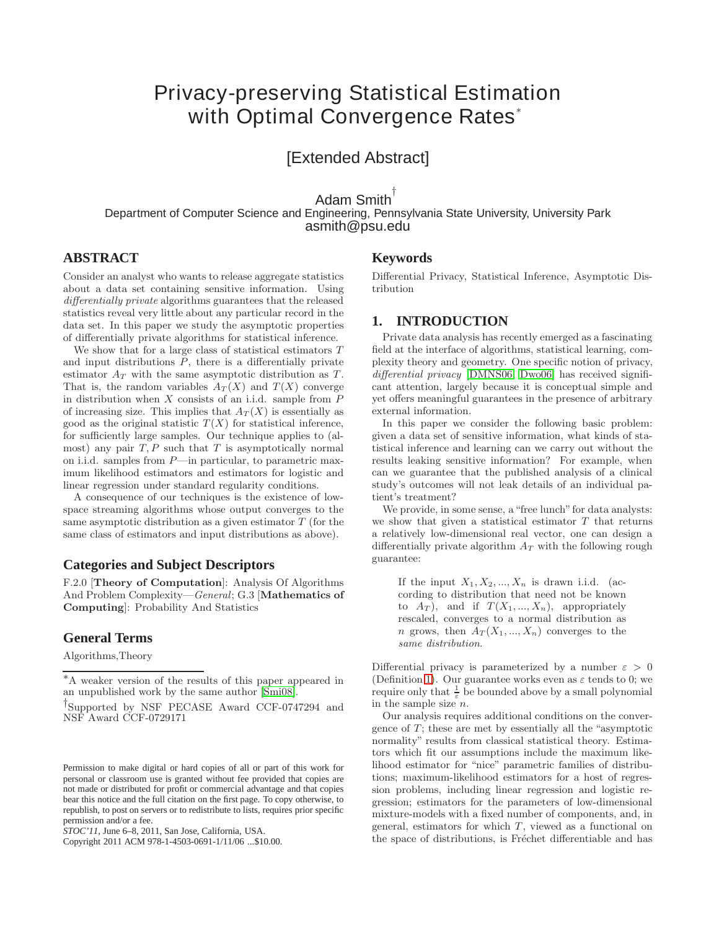# **Privacy-preserving Statistical Estimation with Optimal Convergence Rates**<sup>∗</sup>

[Extended Abstract]

Adam Smith<sup>1</sup> Department of Computer Science and Engineering, Pennsylvania State University, University Park asmith@psu.edu

# **ABSTRACT**

Consider an analyst who wants to release aggregate statistics about a data set containing sensitive information. Using differentially private algorithms guarantees that the released statistics reveal very little about any particular record in the data set. In this paper we study the asymptotic properties of differentially private algorithms for statistical inference.

We show that for a large class of statistical estimators T and input distributions  $P$ , there is a differentially private estimator  $A_T$  with the same asymptotic distribution as  $T$ . That is, the random variables  $A_T(X)$  and  $T(X)$  converge in distribution when  $X$  consists of an i.i.d. sample from  $P$ of increasing size. This implies that  $A_T(X)$  is essentially as good as the original statistic  $T(X)$  for statistical inference, for sufficiently large samples. Our technique applies to (almost) any pair  $T, P$  such that  $T$  is asymptotically normal on i.i.d. samples from P—in particular, to parametric maximum likelihood estimators and estimators for logistic and linear regression under standard regularity conditions.

A consequence of our techniques is the existence of lowspace streaming algorithms whose output converges to the same asymptotic distribution as a given estimator  $T$  (for the same class of estimators and input distributions as above).

## **Categories and Subject Descriptors**

F.2.0 [**Theory of Computation**]: Analysis Of Algorithms And Problem Complexity—General; G.3 [**Mathematics of Computing**]: Probability And Statistics

## **General Terms**

Algorithms,Theory

Copyright 2011 ACM 978-1-4503-0691-1/11/06 ...\$10.00.

# **Keywords**

Differential Privacy, Statistical Inference, Asymptotic Distribution

# <span id="page-0-0"></span>**1. INTRODUCTION**

Private data analysis has recently emerged as a fascinating field at the interface of algorithms, statistical learning, complexity theory and geometry. One specific notion of privacy, differential privacy [\[DMNS06,](#page-8-1) [Dwo06\]](#page-8-2) has received significant attention, largely because it is conceptual simple and yet offers meaningful guarantees in the presence of arbitrary external information.

In this paper we consider the following basic problem: given a data set of sensitive information, what kinds of statistical inference and learning can we carry out without the results leaking sensitive information? For example, when can we guarantee that the published analysis of a clinical study's outcomes will not leak details of an individual patient's treatment?

We provide, in some sense, a "free lunch" for data analysts: we show that given a statistical estimator  $T$  that returns a relatively low-dimensional real vector, one can design a differentially private algorithm  $A_T$  with the following rough guarantee:

If the input  $X_1, X_2, ..., X_n$  is drawn i.i.d. (according to distribution that need not be known to  $A_T$ ), and if  $T(X_1, ..., X_n)$ , appropriately rescaled, converges to a normal distribution as *n* grows, then  $A_T(X_1, ..., X_n)$  converges to the same distribution.

Differential privacy is parameterized by a number  $\varepsilon > 0$ (Definition [1\)](#page-2-0). Our guarantee works even as  $\varepsilon$  tends to 0; we require only that  $\frac{1}{\varepsilon}$  be bounded above by a small polynomial in the sample size  $n$ .

Our analysis requires additional conditions on the convergence of  $T$ ; these are met by essentially all the "asymptotic normality" results from classical statistical theory. Estimators which fit our assumptions include the maximum likelihood estimator for "nice" parametric families of distributions; maximum-likelihood estimators for a host of regression problems, including linear regression and logistic regression; estimators for the parameters of low-dimensional mixture-models with a fixed number of components, and, in general, estimators for which  $T$ , viewed as a functional on the space of distributions, is Fréchet differentiable and has

<sup>∗</sup>A weaker version of the results of this paper appeared in an unpublished work by the same author [\[Smi08\]](#page-8-0).

<sup>†</sup>Supported by NSF PECASE Award CCF-0747294 and NSF Award CCF-0729171

Permission to make digital or hard copies of all or part of this work for personal or classroom use is granted without fee provided that copies are not made or distributed for profit or commercial advantage and that copies bear this notice and the full citation on the first page. To copy otherwise, to republish, to post on servers or to redistribute to lists, requires prior specific permission and/or a fee.

*STOC'11,* June 6–8, 2011, San Jose, California, USA.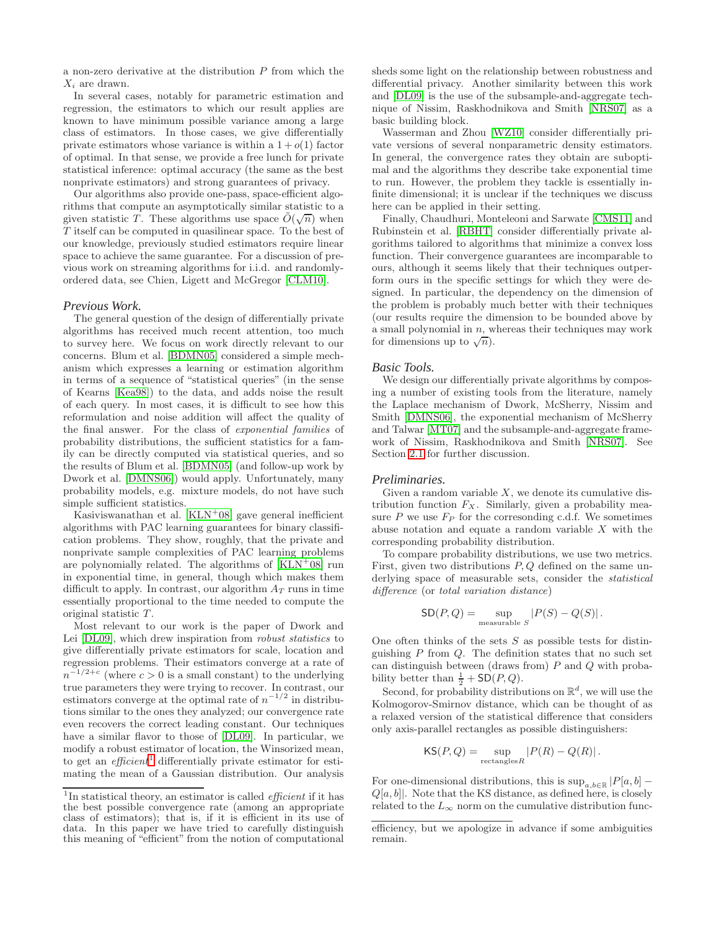a non-zero derivative at the distribution  $P$  from which the  $X_i$  are drawn.

In several cases, notably for parametric estimation and regression, the estimators to which our result applies are known to have minimum possible variance among a large class of estimators. In those cases, we give differentially private estimators whose variance is within a  $1 + o(1)$  factor of optimal. In that sense, we provide a free lunch for private statistical inference: optimal accuracy (the same as the best nonprivate estimators) and strong guarantees of privacy.

Our algorithms also provide one-pass, space-efficient algorithms that compute an asymptotically similar statistic to a The statistic T. These algorithms use space  $\tilde{O}(\sqrt{n})$  when T itself can be computed in quasilinear space. To the best of our knowledge, previously studied estimators require linear space to achieve the same guarantee. For a discussion of previous work on streaming algorithms for i.i.d. and randomlyordered data, see Chien, Ligett and McGregor [\[CLM10\]](#page-8-3).

#### *Previous Work.*

The general question of the design of differentially private algorithms has received much recent attention, too much to survey here. We focus on work directly relevant to our concerns. Blum et al. [\[BDMN05\]](#page-7-0) considered a simple mechanism which expresses a learning or estimation algorithm in terms of a sequence of "statistical queries" (in the sense of Kearns [\[Kea98\]](#page-8-4)) to the data, and adds noise the result of each query. In most cases, it is difficult to see how this reformulation and noise addition will affect the quality of the final answer. For the class of exponential families of probability distributions, the sufficient statistics for a family can be directly computed via statistical queries, and so the results of Blum et al. [\[BDMN05\]](#page-7-0) (and follow-up work by Dwork et al. [\[DMNS06\]](#page-8-1)) would apply. Unfortunately, many probability models, e.g. mixture models, do not have such simple sufficient statistics.

Kasiviswanathan et al.  $\left[$ KLN<sup>+</sup>08 $\right]$  gave general inefficient algorithms with PAC learning guarantees for binary classification problems. They show, roughly, that the private and nonprivate sample complexities of PAC learning problems are polynomially related. The algorithms of  $[KLN^+08]$  $[KLN^+08]$  run in exponential time, in general, though which makes them difficult to apply. In contrast, our algorithm  $A_T$  runs in time essentially proportional to the time needed to compute the original statistic T.

Most relevant to our work is the paper of Dwork and Lei [\[DL09\]](#page-8-6), which drew inspiration from robust statistics to give differentially private estimators for scale, location and regression problems. Their estimators converge at a rate of  $n^{-1/2+c}$  (where  $c > 0$  is a small constant) to the underlying true parameters they were trying to recover. In contrast, our estimators converge at the optimal rate of  $n^{-1/2}$  in distributions similar to the ones they analyzed; our convergence rate even recovers the correct leading constant. Our techniques have a similar flavor to those of [\[DL09\]](#page-8-6). In particular, we modify a robust estimator of location, the Winsorized mean, to get an  $efficient<sup>1</sup>$  $efficient<sup>1</sup>$  $efficient<sup>1</sup>$  differentially private estimator for estimating the mean of a Gaussian distribution. Our analysis

sheds some light on the relationship between robustness and differential privacy. Another similarity between this work and [\[DL09\]](#page-8-6) is the use of the subsample-and-aggregate technique of Nissim, Raskhodnikova and Smith [\[NRS07\]](#page-8-7) as a basic building block.

Wasserman and Zhou [\[WZ10\]](#page-8-8) consider differentially private versions of several nonparametric density estimators. In general, the convergence rates they obtain are suboptimal and the algorithms they describe take exponential time to run. However, the problem they tackle is essentially infinite dimensional; it is unclear if the techniques we discuss here can be applied in their setting.

Finally, Chaudhuri, Monteleoni and Sarwate [\[CMS11\]](#page-8-9) and Rubinstein et al. [\[RBHT\]](#page-8-10) consider differentially private algorithms tailored to algorithms that minimize a convex loss function. Their convergence guarantees are incomparable to ours, although it seems likely that their techniques outperform ours in the specific settings for which they were designed. In particular, the dependency on the dimension of the problem is probably much better with their techniques (our results require the dimension to be bounded above by a small polynomial in  $n$ , whereas their techniques may work for dimensions up to  $\sqrt{n}$ ).

#### *Basic Tools.*

We design our differentially private algorithms by composing a number of existing tools from the literature, namely the Laplace mechanism of Dwork, McSherry, Nissim and Smith [\[DMNS06\]](#page-8-1), the exponential mechanism of McSherry and Talwar [\[MT07\]](#page-8-11) and the subsample-and-aggregate framework of Nissim, Raskhodnikova and Smith [\[NRS07\]](#page-8-7). See Section [2.1](#page-3-0) for further discussion.

#### *Preliminaries.*

Given a random variable  $X$ , we denote its cumulative distribution function  $F_X$ . Similarly, given a probability measure  $P$  we use  $F_P$  for the corresonding c.d.f. We sometimes abuse notation and equate a random variable  $X$  with the corresponding probability distribution.

To compare probability distributions, we use two metrics. First, given two distributions  $P, Q$  defined on the same underlying space of measurable sets, consider the statistical difference (or total variation distance)

$$
SD(P,Q) = \sup_{\text{measurable } S} |P(S) - Q(S)|.
$$

One often thinks of the sets  $S$  as possible tests for distinguishing  $P$  from  $Q$ . The definition states that no such set can distinguish between (draws from)  $P$  and  $Q$  with probability better than  $\frac{1}{2} + SD(P, Q)$ .<br>Second for probability distribution

Second, for probability distributions on  $\mathbb{R}^d$ , we will use the Kolmogorov-Smirnov distance, which can be thought of as a relaxed version of the statistical difference that considers only axis-parallel rectangles as possible distinguishers:

$$
\mathsf{KS}(P,Q) = \sup_{\text{rectangles } R} |P(R) - Q(R)|.
$$

For one-dimensional distributions, this is  $\sup_{a,b\in\mathbb{R}}|P[a,b]$  –  $Q[a, b]$ . Note that the KS distance, as defined here, is closely related to the  $L_{\infty}$  norm on the cumulative distribution func-

<span id="page-1-0"></span><sup>&</sup>lt;sup>1</sup>In statistical theory, an estimator is called *efficient* if it has the best possible convergence rate (among an appropriate class of estimators); that is, if it is efficient in its use of data. In this paper we have tried to carefully distinguish this meaning of "efficient" from the notion of computational

efficiency, but we apologize in advance if some ambiguities remain.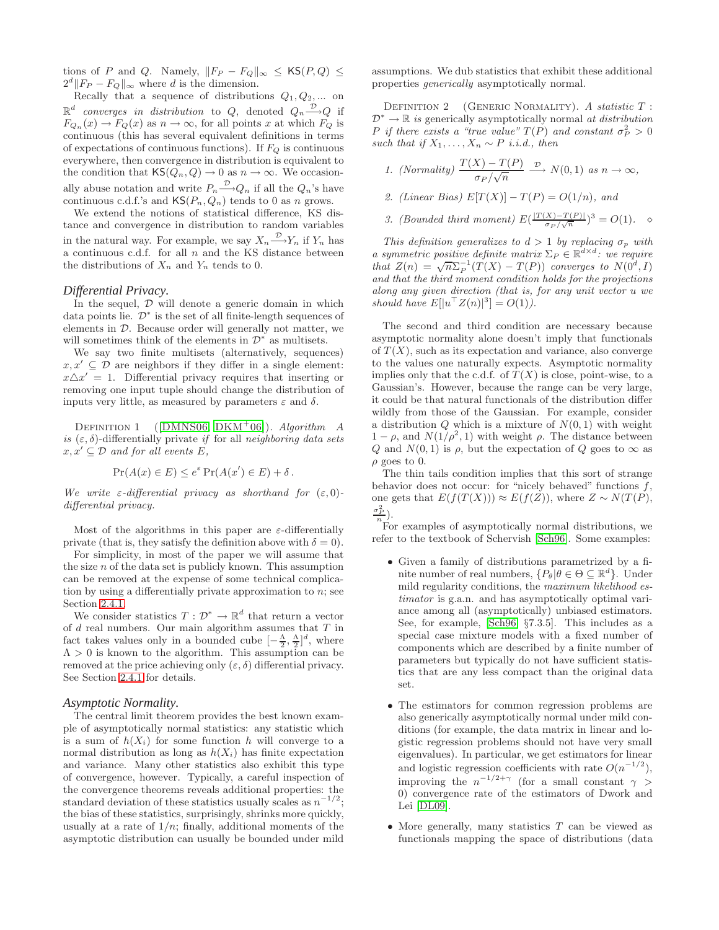tions of P and Q. Namely,  $||F_P - F_Q||_{\infty} \leq \mathsf{KS}(P,Q) \leq$  $2^d$ || $F_P - F_Q$ ||<sub>∞</sub> where d is the dimension.

Recally that a sequence of distributions  $Q_1, Q_2, \dots$  on  $\mathbb{R}^d$  converges in distribution to Q, denoted  $Q_n {\overset{\mathcal{D}}{\longrightarrow}} Q$  if  $F_{Q_n}(x) \to F_Q(x)$  as  $n \to \infty$ , for all points x at which  $F_Q$  is continuous (this has several equivalent definitions in terms of expectations of continuous functions). If  $F_Q$  is continuous everywhere, then convergence in distribution is equivalent to the condition that  $\mathsf{KS}(Q_n, Q) \to 0$  as  $n \to \infty$ . We occasionally abuse notation and write  $P_n \stackrel{\nu}{\longrightarrow} Q_n$  if all the  $Q_n$ 's have continuous c.d.f.'s and  $\mathsf{KS}(P_n, Q_n)$  tends to 0 as n grows.

We extend the notions of statistical difference, KS distance and convergence in distribution to random variables in the natural way. For example, we say  $X_n \xrightarrow{\nu} Y_n$  if  $Y_n$  has a continuous c.d.f. for all  $n$  and the KS distance between the distributions of  $X_n$  and  $Y_n$  tends to 0.

#### *Differential Privacy.*

In the sequel,  $D$  will denote a generic domain in which data points lie.  $\mathcal{D}^*$  is the set of all finite-length sequences of elements in  $D$ . Because order will generally not matter, we will sometimes think of the elements in  $\mathcal{D}^*$  as multisets.

We say two finite multisets (alternatively, sequences)  $x, x' \subseteq \mathcal{D}$  are neighbors if they differ in a single element:  $x \triangle x' = 1$ . Differential privacy requires that inserting or removing one input tuple should change the distribution of inputs very little, as measured by parameters  $\varepsilon$  and  $\delta$ .

<span id="page-2-0"></span>DEFINITION 1 ([\[DMNS06,](#page-8-1) [DKM](#page-8-12)<sup>+</sup>06]). Algorithm A is  $(\varepsilon, \delta)$ -differentially private if for all neighboring data sets  $x, x' \subseteq \mathcal{D}$  and for all events E,

$$
\Pr(A(x) \in E) \le e^{\varepsilon} \Pr(A(x') \in E) + \delta.
$$

We write  $\varepsilon$ -differential privacy as shorthand for  $(\varepsilon, 0)$ differential privacy.

Most of the algorithms in this paper are  $\varepsilon$ -differentially private (that is, they satisfy the definition above with  $\delta = 0$ ).

For simplicity, in most of the paper we will assume that the size  $n$  of the data set is publicly known. This assumption can be removed at the expense of some technical complication by using a differentially private approximation to  $n$ ; see Section [2.4.1.](#page-5-0)

We consider statistics  $T: \mathcal{D}^* \to \mathbb{R}^d$  that return a vector of  $d$  real numbers. Our main algorithm assumes that  $T$  in fact takes values only in a bounded cube  $[-\frac{\Delta}{2}, \frac{\Delta}{2}]^d$ , where  $\Lambda > 0$  is known to the algorithm. This assumption can be  $\Lambda > 0$  is known to the algorithm. This assumption can be removed at the price achieving only  $(\varepsilon, \delta)$  differential privacy. See Section [2.4.1](#page-5-0) for details.

#### *Asymptotic Normality.*

The central limit theorem provides the best known example of asymptotically normal statistics: any statistic which is a sum of  $h(X_i)$  for some function h will converge to a normal distribution as long as  $h(X_i)$  has finite expectation and variance. Many other statistics also exhibit this type of convergence, however. Typically, a careful inspection of the convergence theorems reveals additional properties: the standard deviation of these statistics usually scales as  $n^{-1/2}$ ; the bias of these statistics, surprisingly, shrinks more quickly, usually at a rate of  $1/n$ ; finally, additional moments of the asymptotic distribution can usually be bounded under mild

assumptions. We dub statistics that exhibit these additional properties generically asymptotically normal.

DEFINITION 2 (GENERIC NORMALITY). A statistic  $T$ :  $\mathcal{D}^* \to \mathbb{R}$  is generically asymptotically normal at distribution P if there exists a "true value"  $T(P)$  and constant  $\sigma_P^2 > 0$ such that if  $X_1, \ldots, X_n \sim P$  i.i.d., then

1. (Normally) 
$$
\frac{T(X) - T(P)}{\sigma_P/\sqrt{n}} \xrightarrow{\mathcal{D}} N(0, 1)
$$
 as  $n \to \infty$ ,

2. (Linear Bias) 
$$
E[T(X)] - T(P) = O(1/n)
$$
, and

3. (Bounded third moment)  $E\left(\frac{|T(X)-T(P)|}{\sigma_P/\sqrt{n}}\right)^3 = O(1)$ .  $\diamond$ 

This definition generalizes to  $d > 1$  by replacing  $\sigma_p$  with a symmetric positive definite matrix  $\Sigma_P \in \mathbb{R}^{d \times d}$ : we require that  $Z(n) = \sqrt{n} \sum_{P}^{-1} (T(X) - T(P))$  converges to  $N(0^d, I)$ and that the third moment condition holds for the projections along any given direction (that is, for any unit vector u we should have  $E[|u^{\dagger} Z(n)|^3] = O(1)$ .

The second and third condition are necessary because asymptotic normality alone doesn't imply that functionals of  $T(X)$ , such as its expectation and variance, also converge to the values one naturally expects. Asymptotic normality implies only that the c.d.f. of  $T(X)$  is close, point-wise, to a Gaussian's. However, because the range can be very large, it could be that natural functionals of the distribution differ wildly from those of the Gaussian. For example, consider a distribution  $Q$  which is a mixture of  $N(0, 1)$  with weight  $1 - \rho$ , and  $N(1/\rho^2, 1)$  with weight  $\rho$ . The distance between Q and  $N(0, 1)$  is  $\rho$ , but the expectation of Q goes to  $\infty$  as  $\rho$  goes to 0.

The thin tails condition implies that this sort of strange behavior does not occur: for "nicely behaved" functions f, one gets that  $E(f(T(X))) \approx E(f(Z))$ , where  $Z \sim N(T(P))$ ,  $\frac{\sigma_P^2}{n}$ ).

For examples of asymptotically normal distributions, we refer to the textbook of Schervish [\[Sch96\]](#page-8-13). Some examples:

- Given a family of distributions parametrized by a finite number of real numbers,  $\{P_{\theta} | \theta \in \Theta \subseteq \mathbb{R}^d\}$ . Under mild regularity conditions, the maximum likelihood estimator is g.a.n. and has asymptotically optimal variance among all (asymptotically) unbiased estimators. See, for example, [\[Sch96,](#page-8-13) §7.3.5]. This includes as a special case mixture models with a fixed number of components which are described by a finite number of parameters but typically do not have sufficient statistics that are any less compact than the original data set.
- The estimators for common regression problems are also generically asymptotically normal under mild conditions (for example, the data matrix in linear and logistic regression problems should not have very small eigenvalues). In particular, we get estimators for linear and logistic regression coefficients with rate  $O(n^{-1/2})$ , improving the  $n^{-1/2+\gamma}$  (for a small constant  $\gamma >$ 0) convergence rate of the estimators of Dwork and Lei [\[DL09\]](#page-8-6).
- More generally, many statistics  $T$  can be viewed as functionals mapping the space of distributions (data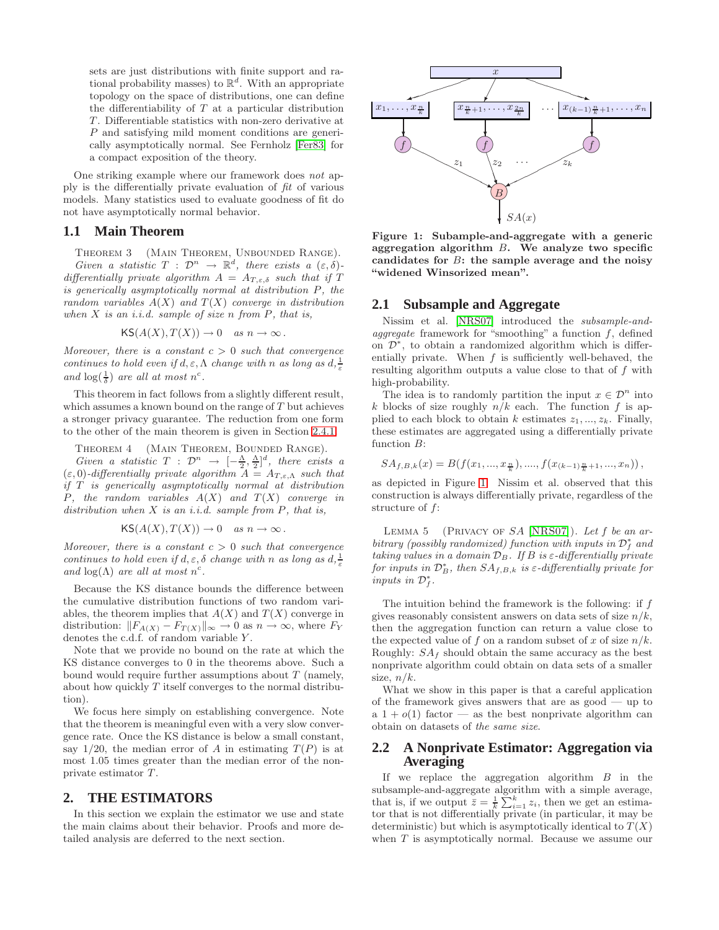sets are just distributions with finite support and rational probability masses) to  $\mathbb{R}^d$ . With an appropriate topology on the space of distributions, one can define the differentiability of  $T$  at a particular distribution T. Differentiable statistics with non-zero derivative at P and satisfying mild moment conditions are generically asymptotically normal. See Fernholz [\[Fer83\]](#page-8-14) for a compact exposition of the theory.

One striking example where our framework does not apply is the differentially private evaluation of fit of various models. Many statistics used to evaluate goodness of fit do not have asymptotically normal behavior.

# **1.1 Main Theorem**

THEOREM 3 (MAIN THEOREM, UNBOUNDED RANGE). Given a statistic  $T : \mathcal{D}^n \to \mathbb{R}^d$ , there exists a  $(\varepsilon, \delta)$ differentially private algorithm  $A = A_{T,\varepsilon,\delta}$  such that if T is generically asymptotically normal at distribution P, the random variables  $A(X)$  and  $T(X)$  converge in distribution when  $X$  is an i.i.d. sample of size n from  $P$ , that is,

$$
\mathsf{KS}(A(X), T(X)) \to 0 \quad \text{as } n \to \infty.
$$

Moreover, there is a constant  $c > 0$  such that convergence continues to hold even if  $d, \varepsilon, \Lambda$  change with n as long as  $d, \frac{1}{\varepsilon}$ and  $\log(\frac{1}{\delta})$  are all at most n<sup>c</sup>.

This theorem in fact follows from a slightly different result, which assumes a known bound on the range of  $T$  but achieves a stronger privacy guarantee. The reduction from one form to the other of the main theorem is given in Section [2.4.1.](#page-5-0)

<span id="page-3-2"></span>THEOREM 4 (MAIN THEOREM, BOUNDED RANGE). Given a statistic  $T : \mathcal{D}^n \to [-\frac{\Lambda}{2}, \frac{\Lambda}{2}]^d$ , there exists a <br>0)-differentially private algorithm  $A = A_{T-k}$ , such that  $(\varepsilon, 0)$ -differentially private algorithm  $\overline{A} = A_{T, \varepsilon, \Lambda}$  such that if T is generically asymptotically normal at distribution P, the random variables  $A(X)$  and  $T(X)$  converge in distribution when  $X$  is an i.i.d. sample from  $P$ , that is,

$$
\mathsf{KS}(A(X), T(X)) \to 0 \quad \text{as } n \to \infty.
$$

Moreover, there is a constant  $c > 0$  such that convergence continues to hold even if  $d, \varepsilon, \delta$  change with n as long as  $d, \frac{1}{\varepsilon}$ and  $log(\Lambda)$  are all at most  $n^c$ .

Because the KS distance bounds the difference between the cumulative distribution functions of two random variables, the theorem implies that  $A(X)$  and  $T(X)$  converge in distribution:  $||F_{A(X)} - F_{T(X)}||_{\infty} \to 0$  as  $n \to \infty$ , where  $F_Y$ denotes the c.d.f. of random variable Y.

Note that we provide no bound on the rate at which the KS distance converges to 0 in the theorems above. Such a bound would require further assumptions about  $T$  (namely, about how quickly T itself converges to the normal distribution).

We focus here simply on establishing convergence. Note that the theorem is meaningful even with a very slow convergence rate. Once the KS distance is below a small constant, say  $1/20$ , the median error of A in estimating  $T(P)$  is at most 1.05 times greater than the median error of the nonprivate estimator T.

#### **2. THE ESTIMATORS**

In this section we explain the estimator we use and state the main claims about their behavior. Proofs and more detailed analysis are deferred to the next section.



<span id="page-3-1"></span>**Figure 1: Subample-and-aggregate with a generic aggregation algorithm** B**. We analyze two specific candidates for** B**: the sample average and the noisy "widened Winsorized mean".**

# <span id="page-3-0"></span>**2.1 Subsample and Aggregate**

Nissim et al. [\[NRS07\]](#page-8-7) introduced the subsample-andaggregate framework for "smoothing" a function  $f$ , defined on  $\mathcal{D}^*$ , to obtain a randomized algorithm which is differentially private. When  $f$  is sufficiently well-behaved, the resulting algorithm outputs a value close to that of f with high-probability.

The idea is to randomly partition the input  $x \in \mathcal{D}^n$  into k blocks of size roughly  $n/k$  each. The function f is applied to each block to obtain k estimates  $z_1, ..., z_k$ . Finally, these estimates are aggregated using a differentially private function B:

$$
SA_{f,B,k}(x) = B(f(x_1,...,x_{\frac{n}{k}}),...,f(x_{(k-1)\frac{n}{k}+1},...,x_n)),
$$

as depicted in Figure [1.](#page-3-1) Nissim et al. observed that this construction is always differentially private, regardless of the structure of f:

LEMMA 5 (PRIVACY OF  $SA$  [\[NRS07\]](#page-8-7)). Let f be an arbitrary (possibly randomized) function with inputs in  $\mathcal{D}_f^*$  and taking values in a domain  $\mathcal{D}_B$ . If B is  $\varepsilon$ -differentially private for inputs in  $\mathcal{D}_{B}^{*}$ , then  $SA_{f,B,k}$  is  $\varepsilon$ -differentially private for inputs in  $\mathcal{D}_f^*$ .

The intuition behind the framework is the following: if  $f$ gives reasonably consistent answers on data sets of size  $n/k$ , then the aggregation function can return a value close to the expected value of f on a random subset of x of size  $n/k$ . Roughly:  $SA<sub>f</sub>$  should obtain the same accuracy as the best nonprivate algorithm could obtain on data sets of a smaller size,  $n/k$ .

What we show in this paper is that a careful application of the framework gives answers that are as good — up to a  $1+o(1)$  factor — as the best nonprivate algorithm can obtain on datasets of the same size.

# **2.2 A Nonprivate Estimator: Aggregation via Averaging**

If we replace the aggregation algorithm  $B$  in the subsample-and-aggregate algorithm with a simple average, that is, if we output  $\overline{z} = \frac{1}{k} \sum_{i=1}^{k} z_i$ , then we get an estima-<br>tor that is not differentially private (in particular it may be tor that is not differentially private (in particular, it may be deterministic) but which is asymptotically identical to  $T(X)$ when  $T$  is asymptotically normal. Because we assume our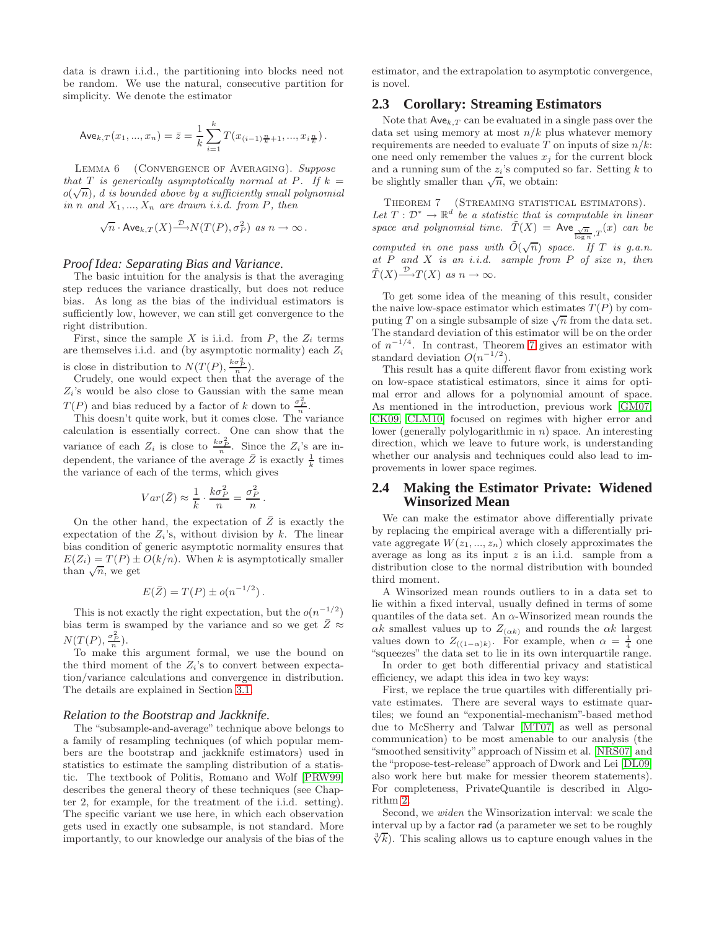data is drawn i.i.d., the partitioning into blocks need not be random. We use the natural, consecutive partition for simplicity. We denote the estimator

$$
\text{Ave}_{k,T}(x_1,...,x_n)=\bar{z}=\frac{1}{k}\sum_{i=1}^k T(x_{(i-1)\frac{n}{k}+1},...,x_{i\frac{n}{k}}).
$$

<span id="page-4-1"></span>LEMMA 6 (CONVERGENCE OF AVERAGING). Suppose that T is generically asymptotically normal at P. If  $k =$  $o(\sqrt{n})$ , d is bounded above by a sufficiently small polynomial in n and  $X_1, ..., X_n$  are drawn i.i.d. from P, then

$$
\sqrt{n} \cdot \text{Ave}_{k,T}(X) \stackrel{\mathcal{D}}{\longrightarrow} N(T(P), \sigma_P^2) \text{ as } n \to \infty.
$$

## *Proof Idea: Separating Bias and Variance.*

The basic intuition for the analysis is that the averaging step reduces the variance drastically, but does not reduce bias. As long as the bias of the individual estimators is sufficiently low, however, we can still get convergence to the right distribution.

First, since the sample X is i.i.d. from P, the  $Z_i$  terms are themselves i.i.d. and (by asymptotic normality) each  $Z_i$ is close in distribution to  $N(T(P), \frac{k\sigma_P^2}{n})$ .

Crudely, one would expect then that the average of the  $Z_i$ 's would be also close to Gaussian with the same mean  $T(P)$  and bias reduced by a factor of k down to  $\frac{\sigma_P^2}{n}$ .

This doesn't quite work, but it comes close. The variance calculation is essentially correct. One can show that the variance of each  $Z_i$  is close to  $\frac{k\sigma_P^2}{n}$ . Since the  $Z_i$ 's are independent, the variance of the average  $\overline{Z}$  is exactly  $\frac{1}{k}$  times the variance of each of the terms, which gives

$$
Var(\bar{Z}) \approx \frac{1}{k} \cdot \frac{k\sigma_P^2}{n} = \frac{\sigma_P^2}{n}.
$$

On the other hand, the expectation of  $\overline{Z}$  is exactly the expectation of the  $Z_i$ 's, without division by k. The linear bias condition of generic asymptotic normality ensures that  $E(Z_i) = T(P) \pm O(k/n)$ . When k is asymptotically smaller than  $\sqrt{n}$ , we get

$$
E(\bar{Z}) = T(P) \pm o(n^{-1/2}).
$$

This is not exactly the right expectation, but the  $o(n^{-1/2})$ bias term is swamped by the variance and so we get  $\bar{Z} \approx$  $N(T(P), \frac{\sigma_P^2}{n}).$ 

To make this argument formal, we use the bound on the third moment of the  $Z_i$ 's to convert between expectation/variance calculations and convergence in distribution. The details are explained in Section [3.1.](#page-5-1)

#### *Relation to the Bootstrap and Jackknife.*

The "subsample-and-average" technique above belongs to a family of resampling techniques (of which popular members are the bootstrap and jackknife estimators) used in statistics to estimate the sampling distribution of a statistic. The textbook of Politis, Romano and Wolf [\[PRW99\]](#page-8-15) describes the general theory of these techniques (see Chapter 2, for example, for the treatment of the i.i.d. setting). The specific variant we use here, in which each observation gets used in exactly one subsample, is not standard. More importantly, to our knowledge our analysis of the bias of the estimator, and the extrapolation to asymptotic convergence, is novel.

## **2.3 Corollary: Streaming Estimators**

Note that  $\mathsf{Ave}_{k,T}$  can be evaluated in a single pass over the data set using memory at most  $n/k$  plus whatever memory requirements are needed to evaluate T on inputs of size  $n/k$ : one need only remember the values  $x_j$  for the current block and a running sum of the  $z_i$ 's computed so far. Setting  $k$  to be slightly smaller than  $\sqrt{n}$ , we obtain:

<span id="page-4-0"></span>THEOREM 7 (STREAMING STATISTICAL ESTIMATORS). Let  $T : \mathcal{D}^* \to \mathbb{R}^d$  be a statistic that is computable in linear space and polynomial time.  $\tilde{T}(X) = \mathsf{Ave} \frac{\sqrt{n}}{\log n} T(x)$  can be computed in one pass with  $\tilde{O}(\sqrt{n})$  space. If T is g.a.n. at  $P$  and  $X$  is an i.i.d. sample from  $P$  of size n, then  $\tilde{T}(X) \stackrel{\mathcal{D}}{\longrightarrow} T(X)$  as  $n \to \infty$ .

To get some idea of the meaning of this result, consider the naive low-space estimator which estimates  $T(P)$  by computing T on a single subsample of size  $\sqrt{n}$  from the data set. The standard deviation of this estimator will be on the order of  $n^{-1/4}$ . In contrast, Theorem [7](#page-4-0) gives an estimator with standard deviation  $O(n^{-1/2})$ .

This result has a quite different flavor from existing work on low-space statistical estimators, since it aims for optimal error and allows for a polynomial amount of space. As mentioned in the introduction, previous work [\[GM07,](#page-8-16) [CK09,](#page-8-17) [CLM10\]](#page-8-3) focused on regimes with higher error and lower (generally polylogarithmic in  $n$ ) space. An interesting direction, which we leave to future work, is understanding whether our analysis and techniques could also lead to improvements in lower space regimes.

## **2.4 Making the Estimator Private: Widened Winsorized Mean**

We can make the estimator above differentially private by replacing the empirical average with a differentially private aggregate  $W(z_1, ..., z_n)$  which closely approximates the average as long as its input  $z$  is an i.i.d. sample from a distribution close to the normal distribution with bounded third moment.

A Winsorized mean rounds outliers to in a data set to lie within a fixed interval, usually defined in terms of some quantiles of the data set. An  $\alpha$ -Winsorized mean rounds the  $\alpha k$  smallest values up to  $Z_{(\alpha k)}$  and rounds the  $\alpha k$  largest values down to  $Z_{((1-\alpha)k)}$ . For example, when  $\alpha = \frac{1}{4}$  one<br>"squeezes" the data set to lie in its own interquartile range "squeezes" the data set to lie in its own interquartile range.

In order to get both differential privacy and statistical efficiency, we adapt this idea in two key ways:

First, we replace the true quartiles with differentially private estimates. There are several ways to estimate quartiles; we found an "exponential-mechanism"-based method due to McSherry and Talwar [\[MT07\]](#page-8-11) as well as personal communication) to be most amenable to our analysis (the "smoothed sensitivity"approach of Nissim et al. [\[NRS07\]](#page-8-7) and the "propose-test-release" approach of Dwork and Lei [\[DL09\]](#page-8-6) also work here but make for messier theorem statements). For completeness, PrivateQuantile is described in Algorithm [2.](#page-6-0)

Second, we widen the Winsorization interval: we scale the interval up by a factor rad (a parameter we set to be roughly  $\sqrt[3]{k}$ . This scaling allows us to capture enough values in the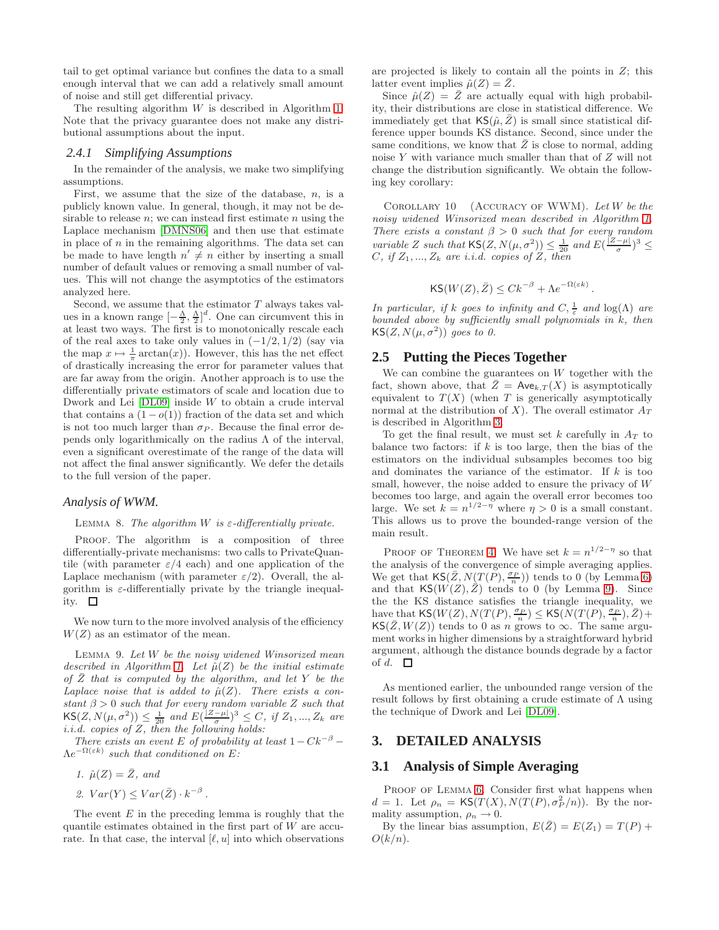tail to get optimal variance but confines the data to a small enough interval that we can add a relatively small amount of noise and still get differential privacy.

The resulting algorithm  $W$  is described in Algorithm [1.](#page-6-1) Note that the privacy guarantee does not make any distributional assumptions about the input.

#### <span id="page-5-0"></span>*2.4.1 Simplifying Assumptions*

In the remainder of the analysis, we make two simplifying assumptions.

First, we assume that the size of the database,  $n$ , is a publicly known value. In general, though, it may not be desirable to release  $n$ ; we can instead first estimate  $n$  using the Laplace mechanism [\[DMNS06\]](#page-8-1) and then use that estimate in place of  $n$  in the remaining algorithms. The data set can be made to have length  $n' \neq n$  either by inserting a small number of default values or removing a small number of values. This will not change the asymptotics of the estimators analyzed here.

Second, we assume that the estimator  $T$  always takes values in a known range  $[-\frac{\Lambda}{2}, \frac{\Lambda}{2}]^d$ . One can circumvent this in<br>at least two ways. The first is to monotonically rescale each at least two ways. The first is to monotonically rescale each of the real axes to take only values in  $(-1/2, 1/2)$  (say via the map  $x \mapsto \frac{1}{\pi} \arctan(x)$ . However, this has the net effect of drastically increasing the error for parameter values that are far away from the origin. Another approach is to use the differentially private estimators of scale and location due to Dwork and Lei  $[DL09]$  inside W to obtain a crude interval that contains a  $(1 - o(1))$  fraction of the data set and which is not too much larger than  $\sigma_P$ . Because the final error depends only logarithmically on the radius  $\Lambda$  of the interval, even a significant overestimate of the range of the data will not affect the final answer significantly. We defer the details to the full version of the paper.

## *Analysis of WWM.*

LEMMA 8. The algorithm W is  $\varepsilon$ -differentially private.

PROOF. The algorithm is a composition of three differentially-private mechanisms: two calls to PrivateQuantile (with parameter  $\varepsilon/4$  each) and one application of the Laplace mechanism (with parameter  $\varepsilon/2$ ). Overall, the algorithm is  $\varepsilon$ -differentially private by the triangle inequality.  $\square$ 

<span id="page-5-2"></span>We now turn to the more involved analysis of the efficiency  $W(Z)$  as an estimator of the mean.

LEMMA 9. Let  $W$  be the noisy widened Winsorized mean described in Algorithm [1.](#page-6-1) Let  $\hat{\mu}(Z)$  be the initial estimate of  $\bar{Z}$  that is computed by the algorithm, and let Y be the Laplace noise that is added to  $\hat{\mu}(Z)$ . There exists a constant  $\beta > 0$  such that for every random variable Z such that  $\mathsf{KS}(Z, N(\mu, \sigma^2)) \leq \frac{1}{20}$  and  $E(\frac{|Z-\mu|}{\sigma})^3 \leq C$ , if  $Z_1, ..., Z_k$  are i.i.d. copies of Z, then the following holds:

There exists an event E of probability at least  $1-Ck^{-\beta}$  –  $\Lambda e^{-\Omega(\varepsilon k)}$  such that conditioned on E:

$$
1.~~\hat{\mu}(Z)=\bar{Z},~and
$$

2.  $Var(Y) \leq Var(\bar{Z}) \cdot k^{-\beta}$ .

The event  $E$  in the preceding lemma is roughly that the quantile estimates obtained in the first part of  $W$  are accurate. In that case, the interval  $[\ell, u]$  into which observations

are projected is likely to contain all the points in  $Z$ ; this latter event implies  $\hat{\mu}(Z) = \overline{Z}$ .

Since  $\hat{\mu}(Z) = \overline{Z}$  are actually equal with high probability, their distributions are close in statistical difference. We immediately get that  $\mathsf{KS}(\hat{\mu},\bar{Z})$  is small since statistical difference upper bounds KS distance. Second, since under the same conditions, we know that  $Z$  is close to normal, adding noise Y with variance much smaller than that of Z will not change the distribution significantly. We obtain the following key corollary:

COROLLARY  $10$  (ACCURACY OF WWM). Let W be the noisy widened Winsorized mean described in Algorithm [1.](#page-6-1) There exists a constant  $\beta > 0$  such that for every random variable Z such that  $\mathsf{KS}(Z, N(\mu, \sigma^2)) \leq \frac{1}{20}$  and  $E(\frac{|Z-\mu|}{\sigma})^3 \leq C$ , if Z,  $Z$ , are i.i.d. conjes of Z, then  $C, if Z_1, ..., Z_k$  are *i.i.d.* copies of Z, then

$$
\mathsf{KS}(W(Z),\bar{Z}) \leq Ck^{-\beta} + \Lambda e^{-\Omega(\varepsilon k)}.
$$

In particular, if k goes to infinity and  $C, \frac{1}{\varepsilon}$  and  $\log(\Lambda)$  are bounded above by sufficiently small polynomials in  $k$ , then  $\mathsf{KS}(Z, N(\mu, \sigma^2))$  goes to 0.

## **2.5 Putting the Pieces Together**

We can combine the guarantees on  $W$  together with the fact, shown above, that  $\overline{Z} = \text{Ave}_{k,T}(X)$  is asymptotically equivalent to  $T(X)$  (when T is generically asymptotically normal at the distribution of X). The overall estimator  $A_T$ is described in Algorithm [3.](#page-7-1)

To get the final result, we must set  $k$  carefully in  $A_T$  to balance two factors: if  $k$  is too large, then the bias of the estimators on the individual subsamples becomes too big and dominates the variance of the estimator. If  $k$  is too small, however, the noise added to ensure the privacy of W becomes too large, and again the overall error becomes too large. We set  $k = n^{1/2 - \eta}$  where  $\eta > 0$  is a small constant. This allows us to prove the bounded-range version of the main result.

PROOF OF THEOREM [4.](#page-3-2) We have set  $k = n^{1/2-\eta}$  so that the analysis of the convergence of simple averaging applies. We get that  $\mathsf{KS}(\bar{Z}, N(T(P), \frac{\sigma_P}{n}))$  tends to 0 (by Lemma [6\)](#page-4-1) and that  $\mathsf{KS}(W(Z),\overline{Z})$  tends to 0 (by Lemma [9\)](#page-5-2). Since the the KS distance satisfies the triangle inequality, we have that  $\mathsf{KS}(W(Z), N(T(P), \frac{\sigma_P}{n}) \leq \mathsf{KS}(N(T(P), \frac{\sigma_P}{n}), \bar{Z}) +$  $\mathsf{KS}(\bar Z,W(Z))$  tends to 0 as n grows to  $\infty$ . The same argument works in higher dimensions by a straightforward hybrid argument, although the distance bounds degrade by a factor of d.  $\Box$ 

As mentioned earlier, the unbounded range version of the result follows by first obtaining a crude estimate of Λ using the technique of Dwork and Lei [\[DL09\]](#page-8-6).

#### **3. DETAILED ANALYSIS**

#### <span id="page-5-1"></span>**3.1 Analysis of Simple Averaging**

PROOF OF LEMMA [6.](#page-4-1) Consider first what happens when  $d = 1$ . Let  $\rho_n = \mathsf{KS}(T(X), N(T(P), \sigma_P^2/n))$ . By the normality assumption,  $\rho_n \to 0$ .

By the linear bias assumption,  $E(\overline{Z}) = E(Z_1) = T(P) +$  $O(k/n)$ .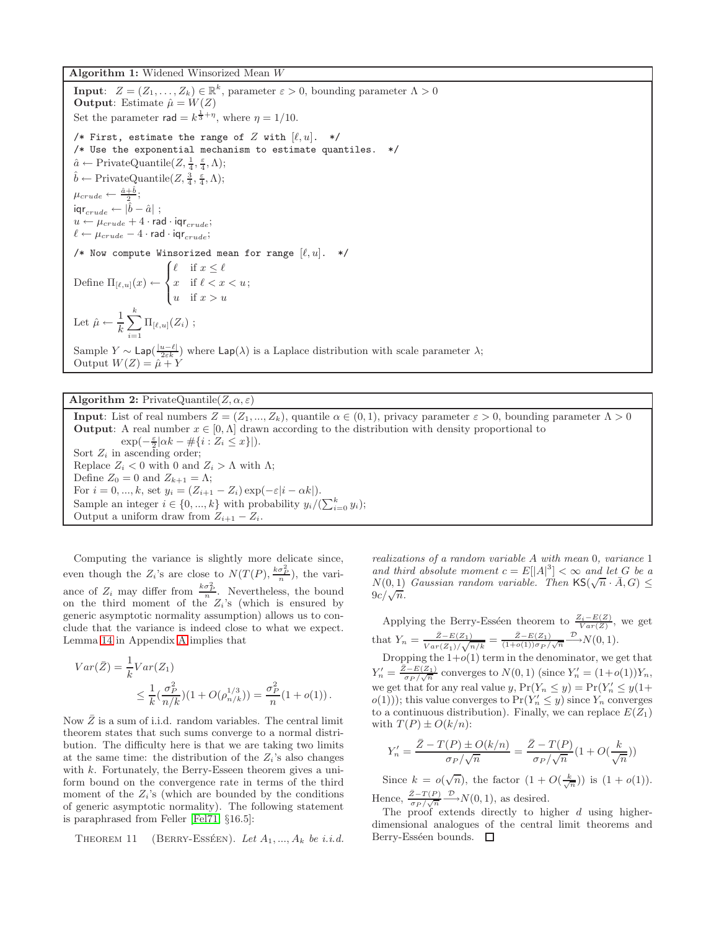<span id="page-6-1"></span>**Algorithm 1:** Widened Winsorized Mean W

**Input**:  $Z = (Z_1, \ldots, Z_k) \in \mathbb{R}^k$ , parameter  $\varepsilon > 0$ , bounding parameter  $\Lambda > 0$ **Output**: Estimate  $\hat{\mu} = W(Z)$ Set the parameter  $\mathsf{rad} = k^{\frac{1}{3} + \eta}$ , where  $\eta = 1/10$ . /\* First, estimate the range of  $Z$  with  $[\ell, u]$ . \*/ /\* Use the exponential mechanism to estimate quantiles. \*/  $\hat{a} \leftarrow \text{PrivateQuantile}(Z, \frac{1}{4}, \frac{\varepsilon}{4}, \Lambda);$ <br>  $\hat{i} \quad \text{D} \quad \text{L} \quad \text{Q} \quad \text{L} \quad (Z, \frac{3}{4}, \varepsilon, \Lambda).$  $\hat{b} \leftarrow \text{PrivateQuantile}(Z, \frac{3}{4}, \frac{\varepsilon}{4}, \Lambda);$  $\mu_{crude} \leftarrow \frac{\hat{a}+\hat{b}}{2};$  $\mathsf{iqr}_{crude} \leftarrow |\hat{b} - \hat{a}| \,$  ;  $u \leftarrow \mu_{crude} + 4 \cdot rad \cdot iqr_{crude};$  $\ell \leftarrow \mu_{crude} - 4 \cdot \text{rad} \cdot \text{iqr}_{crude};$ /\* Now compute Winsorized mean for range  $[\ell, u]$ . \*/ Define  $\Pi_{[\ell,u]}(x) \leftarrow$  $\sqrt{ }$  $\left\vert \right\vert$  $\mathcal{L}$  $\ell$  if  $x \leq \ell$ <br>  $x$  if  $\ell < x < u$ u if  $x>u$ ; Let  $\hat{\mu} \leftarrow \frac{1}{k} \sum_{i=1}^{k}$  $\frac{i=1}{i}$  $\Pi_{[\ell,u]}(Z_i)$ ; Sample  $Y \sim \textsf{Lap}(\frac{|u-\ell|}{2\varepsilon k})$  where  $\textsf{Lap}(\lambda)$  is a Laplace distribution with scale parameter  $\lambda$ ;<br>Output  $W(Z) = \hat{\mu} + Y$ 

## **Algorithm 2:** PrivateQuantile $(Z, \alpha, \varepsilon)$

<span id="page-6-0"></span>**Input**: List of real numbers  $Z = (Z_1, ..., Z_k)$ , quantile  $\alpha \in (0, 1)$ , privacy parameter  $\varepsilon > 0$ , bounding parameter  $\Lambda > 0$ **Output**: A real number  $x \in [0, \Lambda]$  drawn according to the distribution with density proportional to  $\exp(-\frac{\varepsilon}{2}|\alpha k - \#\{i : Z_i \leq x\}|).$ Sort  $Z_i$  in ascending order; Replace  $Z_i < 0$  with 0 and  $Z_i > \Lambda$  with  $\Lambda$ ; Define  $Z_0 = 0$  and  $Z_{k+1} = \Lambda$ ; For  $i = 0, ..., k$ , set  $y_i = (Z_{i+1} - Z_i) \exp(-\varepsilon |i - \alpha k|)$ . Sample an integer  $i \in \{0, ..., k\}$  with probability  $y_i/(\sum_{i=0}^k y_i);$ <br>Output a uniform draw from  $Z_{i+1} - Z_i$ . Output a uniform draw from  $Z_{i+1} - Z_i$ .

Computing the variance is slightly more delicate since, even though the  $Z_i$ 's are close to  $N(T(P), \frac{k\sigma_P^2}{n})$ , the variance of  $Z_i$  may differ from  $\frac{k\sigma_P^2}{n}$ . Nevertheless, the bound on the third moment of the  $Z_i$ 's (which is ensured by generic asymptotic normality assumption) allows us to conclude that the variance is indeed close to what we expect. Lemma [14](#page-8-18) in Appendix [A](#page-0-0) implies that

$$
Var(\bar{Z}) = \frac{1}{k}Var(Z_1)
$$
  
 
$$
\leq \frac{1}{k}(\frac{\sigma_P^2}{n/k})(1 + O(\rho_{n/k}^{1/3})) = \frac{\sigma_P^2}{n}(1 + o(1)).
$$

Now  $\bar{Z}$  is a sum of i.i.d. random variables. The central limit theorem states that such sums converge to a normal distribution. The difficulty here is that we are taking two limits at the same time: the distribution of the  $Z_i$ 's also changes with k. Fortunately, the Berry-Esseen theorem gives a uniform bound on the convergence rate in terms of the third moment of the  $Z_i$ 's (which are bounded by the conditions of generic asymptotic normality). The following statement is paraphrased from Feller [\[Fel71,](#page-8-19) §16.5]:

THEOREM 11 (BERRY-ESSÉEN). Let  $A_1, ..., A_k$  be i.i.d.

realizations of a random variable A with mean 0, variance 1 and third absolute moment  $c = E[|A|^3] < \infty$  and let G be a and then absolute moment  $c = E[|A|] \leq \infty$  and let G be a<br> $N(0, 1)$  Gaussian random variable. Then  $\mathsf{KS}(\sqrt{n} \cdot \overline{A}, G) \leq$  $9c/\sqrt{n}$ .

Applying the Berry-Esséen theorem to  $\frac{Z_i - E(Z)}{Var(Z)}$ , we get that  $Y_n = \frac{\bar{Z} - E(Z_1)}{V_1 - \langle Z_1 \rangle}$  $\frac{\bar{Z}-E(Z_1)}{Var(Z_1)/\sqrt{n/k}} = \frac{\bar{Z}-E(Z_1)}{(1+o(1))\sigma_P/\sqrt{n}} \stackrel{\mathcal{D}}{\longrightarrow} N(0, 1).$ 

Dropping the  $1+o(1)$  term in the denominator, we get that  $Y'_n = \frac{\bar{Z} - E(Z_1)}{\sigma_P / \sqrt{n}}$  converges to  $N(0, 1)$  (since  $Y'_n = (1 + o(1))Y_n$ , we get that for any real value y,  $Pr(Y_n \le y) = Pr(Y'_n \le y(1+\$  $o(1)$ ; this value converges to  $Pr(Y'_n \leq y)$  since  $Y_n$  converges to a continuous distribution). Finally, we can replace  $E(Z_1)$ with  $T(P) \pm O(k/n)$ :

$$
Y_n' = \frac{\bar{Z} - T(P) \pm O(k/n)}{\sigma_P/\sqrt{n}} = \frac{\bar{Z} - T(P)}{\sigma_P/\sqrt{n}}(1 + O(\frac{k}{\sqrt{n}}))
$$

Since  $k = o(\sqrt{n})$ , the factor  $(1 + O(\frac{k}{\sqrt{n}}))$  is  $(1 + o(1))$ . Hence,  $\frac{\bar{Z}-T(P)}{\sigma_P/\sqrt{n}} \longrightarrow N(0, 1)$ , as desired.

The proof extends directly to higher  $d$  using higherdimensional analogues of the central limit theorems and Berry-Esséen bounds.  $\square$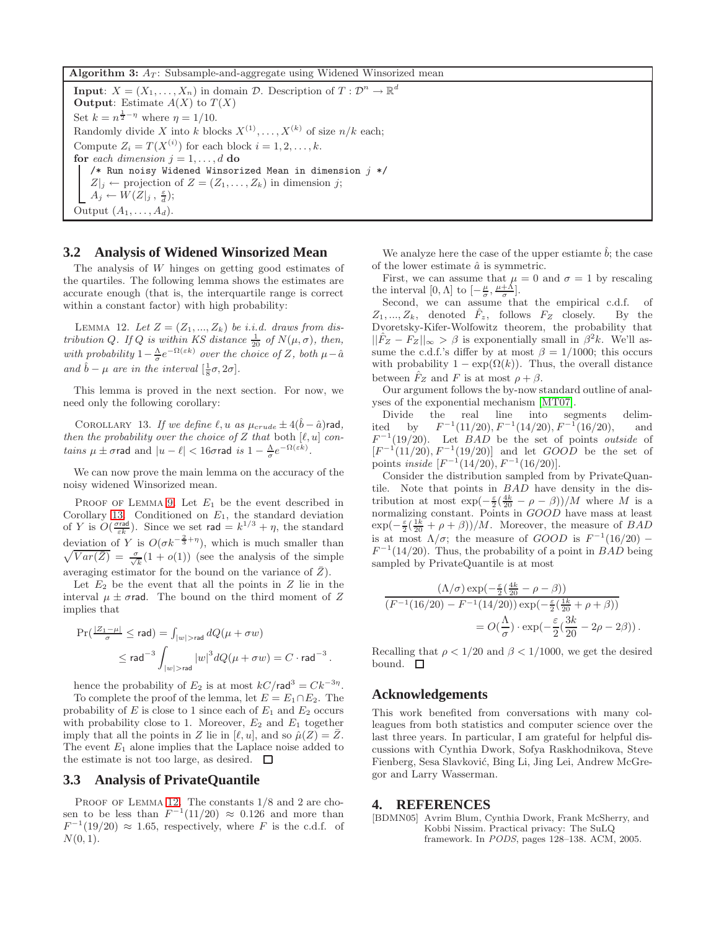<span id="page-7-1"></span>**Algorithm 3:**  $A_T$ : Subsample-and-aggregate using Widened Winsorized mean

**Input**:  $X = (X_1, \ldots, X_n)$  in domain  $\mathcal{D}$ . Description of  $T : \mathcal{D}^n \to \mathbb{R}^d$ **Output**: Estimate  $A(X)$  to  $T(X)$ Set  $k = n^{\frac{1}{2} - \eta}$  where  $\eta = 1/10$ . Randomly divide X into k blocks  $X^{(1)}, \ldots, X^{(k)}$  of size  $n/k$  each; Compute  $Z_i = T(X^{(i)})$  for each block  $i = 1, 2, ..., k$ . **for** each dimension  $j = 1, \ldots, d$  **do**  $\hspace{0.1mm}/\ast$  Run noisy Widened Winsorized Mean in dimension  $j$   $\ast/$  $Z|_j \leftarrow$  projection of  $Z = (Z_1, \ldots, Z_k)$  in dimension j;  $A_j \leftarrow W(Z|_j , \frac{\varepsilon}{d});$ Output  $(A_1, \ldots, A_d)$ .

## **3.2 Analysis of Widened Winsorized Mean**

The analysis of W hinges on getting good estimates of the quartiles. The following lemma shows the estimates are accurate enough (that is, the interquartile range is correct within a constant factor) with high probability:

<span id="page-7-3"></span>LEMMA 12. Let  $Z = (Z_1, ..., Z_k)$  be i.i.d. draws from distribution Q. If Q is within KS distance  $\frac{1}{20}$  of  $N(\mu, \sigma)$ , then, with probability  $1 - \frac{\Lambda}{\sigma} e^{-\Omega(\epsilon k)}$  over the choice of Z, both  $\mu - \hat{\alpha}$ and  $\hat{b} - \mu$  are in the interval  $\left[\frac{1}{8}\sigma, 2\sigma\right]$ .

<span id="page-7-2"></span>This lemma is proved in the next section. For now, we need only the following corollary:

COROLLARY 13. If we define  $\ell, u$  as  $\mu_{crude} \pm 4(\hat{b}-\hat{a})$ rad, then the probability over the choice of Z that both  $[\ell, u]$  contains  $\mu \pm \sigma$ rad and  $|u - \ell| < 16\sigma$ rad is  $1 - \frac{\Lambda}{\sigma} e^{-\Omega(\varepsilon k)}$ .

We can now prove the main lemma on the accuracy of the noisy widened Winsorized mean.

PROOF OF LEMMA [9.](#page-5-2) Let  $E_1$  be the event described in Corollary [13.](#page-7-2) Conditioned on  $E_1$ , the standard deviation of Y is  $O(\frac{\sigma_{\text{rad}}}{\epsilon k})$ . Since we set rad  $= k^{1/3} + \eta$ , the standard deviation of Y is  $O(\sigma k^{-\frac{2}{3}+\eta})$  $\sqrt{ }$ ), which is much smaller than  $\overline{Var(\bar{Z})} = \frac{\sigma}{\sqrt{k}}(1 + o(1))$  (see the analysis of the simple averaging estimator for the bound on the variance of  $Z$ ).

Let  $E_2$  be the event that all the points in Z lie in the interval  $\mu \pm \sigma$  rad. The bound on the third moment of Z implies that

$$
\begin{aligned} \Pr(\tfrac{|\mathcal{Z}_1 - \mu|}{\sigma} \leq \mathsf{rad}) &= \int_{|w| > \mathsf{rad}} dQ(\mu + \sigma w) \\ &\leq \mathsf{rad}^{-3} \int_{|w| > \mathsf{rad}} |w|^3 dQ(\mu + \sigma w) = C \cdot \mathsf{rad}^{-3} \,. \end{aligned}
$$

hence the probability of  $E_2$  is at most  $kC/\text{rad}^3 = Ck^{-3\eta}$ .

To complete the proof of the lemma, let  $E = E_1 \cap E_2$ . The probability of  $E$  is close to 1 since each of  $E_1$  and  $E_2$  occurs with probability close to 1. Moreover,  $E_2$  and  $E_1$  together imply that all the points in Z lie in  $[\ell, u]$ , and so  $\hat{\mu}(Z) = \overline{Z}$ . The event  $E_1$  alone implies that the Laplace noise added to the estimate is not too large, as desired.  $\Box$ 

# **3.3 Analysis of PrivateQuantile**

PROOF OF LEMMA [12.](#page-7-3) The constants  $1/8$  and 2 are chosen to be less than  $F^{-1}(11/20) \approx 0.126$  and more than  $F^{-1}(19/20) \approx 1.65$ , respectively, where F is the c.d.f. of  $N(0, 1)$ .

We analyze here the case of the upper estiamte  $b$ ; the case of the lower estimate  $\hat{a}$  is symmetric.

First, we can assume that  $\mu = 0$  and  $\sigma = 1$  by rescaling the interval  $[0, \Lambda]$  to  $\left[-\frac{\mu}{\sigma}, \frac{\mu+\Lambda}{\sigma}\right]$ .

Second, we can assume that the empirical c.d.f. of  $Z_1, ..., Z_k$ , denoted  $\hat{F}_z$ , follows  $F_Z$  closely. By the Dvoretsky-Kifer-Wolfowitz theorem, the probability that  $||F_Z - F_Z||_{\infty} > \beta$  is exponentially small in  $\beta^2 k$ . We'll assume the c.d.f.'s differ by at most  $\beta = 1/1000$ ; this occurs with probability  $1 - \exp(\Omega(k))$ . Thus, the overall distance between  $F_Z$  and F is at most  $\rho + \beta$ .

Our argument follows the by-now standard outline of analyses of the exponential mechanism [\[MT07\]](#page-8-11).

Divide the real line into segments delimited by  $F^{-1}(11/20), F^{-1}(14/20), F^{-1}(16/20),$  and  $F^{-1}(19/20)$ . Let *BAD* be the set of points *outside* of  $[F^{-1}(11/20), F^{-1}(19/20)]$  and let  $GOOD$  be the set of points *inside*  $[F^{-1}(14/20), F^{-1}(16/20)].$ 

Consider the distribution sampled from by PrivateQuantile. Note that points in BAD have density in the distribution at most  $\exp(-\frac{\varepsilon}{2}(\frac{4k}{20}-\rho-\beta))/M$  where M is a normalizing constant. Points in *GOOD* have mass at least  $\exp(-\frac{\varepsilon}{2}(\frac{1k}{20}+\rho+\beta))/M$ . Moreover, the measure of *BAD* is at most  $\Lambda/\sigma$ ; the measure of  $GOOD$  is  $F^{-1}(16/20)$  –  $F^{-1}(14/20)$ . Thus, the probability of a point in BAD being sampled by PrivateQuantile is at most

$$
\frac{(\Lambda/\sigma) \exp(-\frac{\varepsilon}{2}(\frac{4k}{20} - \rho - \beta))}{(F^{-1}(16/20) - F^{-1}(14/20)) \exp(-\frac{\varepsilon}{2}(\frac{1k}{20} + \rho + \beta))}
$$
  
=  $O(\frac{\Lambda}{\sigma}) \cdot \exp(-\frac{\varepsilon}{2}(\frac{3k}{20} - 2\rho - 2\beta)).$ 

Recalling that  $\rho < 1/20$  and  $\beta < 1/1000$ , we get the desired bound.  $\square$ 

## **Acknowledgements**

This work benefited from conversations with many colleagues from both statistics and computer science over the last three years. In particular, I am grateful for helpful discussions with Cynthia Dwork, Sofya Raskhodnikova, Steve Fienberg, Sesa Slavković, Bing Li, Jing Lei, Andrew McGregor and Larry Wasserman.

#### **4. REFERENCES**

<span id="page-7-0"></span>[BDMN05] Avrim Blum, Cynthia Dwork, Frank McSherry, and Kobbi Nissim. Practical privacy: The SuLQ framework. In *PODS*, pages 128–138. ACM, 2005.